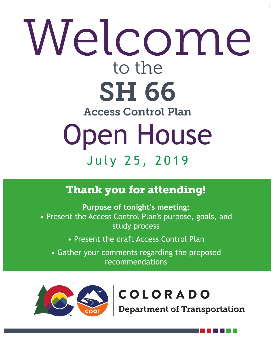# Open House July 25, 2019

# Welcome to the SH 66

#### Access Control Plan

## **Thank you for attending!**

**Purpose of tonight's meeting:** • Present the Access Control Plan's purpose, goals, and

#### study process

• Present the draft Access Control Plan • Gather your comments regarding the proposed recommendations



## COLORADO

Department of Transportation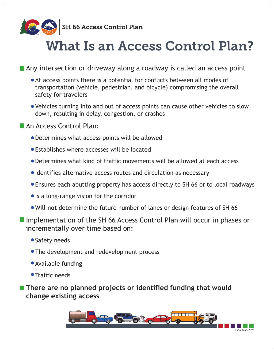

SS SH 66 Access Control Plan



# What Is an Access Control Plan?

■ Any intersection or driveway along a roadway is called an access point

- At access points there is a potential for conflicts between all modes of transportation (vehicle, pedestrian, and bicycle) compromising the overall safety for travelers
- Vehicles turning into and out of access points can cause other vehicles to slow

down, resulting in delay, congestion, or crashes

#### An Access Control Plan:

**There are no planned projects or identified funding that would change existing access**

- Determines what access points will be allowed
- Establishes where accesses will be located
- Determines what kind of traffic movements will be allowed at each access
- Identifies alternative access routes and circulation as necessary
- Ensures each abutting property has access directly to SH 66 or to local roadways
- Is a long-range vision for the corridor
- Will **not** determine the future number of lanes or design features of SH 66

Implementation of the SH 66 Access Control Plan will occur in phases or

incrementally over time based on:

- **Safety needs**
- **The development and redevelopment process**
- Available funding
- **Traffic needs**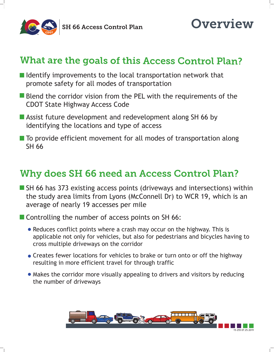

### $SO$  SS SH 66 Access Control Plan





- $\blacksquare$  Identify improvements to the local transportation network that promote safety for all modes of transportation
- **Blend the corridor vision from the PEL with the requirements of the** CDOT State Highway Access Code

**Example 3 Assist future development and redevelopment along SH 66 by** identifying the locations and type of access

 $\blacksquare$  To provide efficient movement for all modes of transportation along SH 66

■ SH 66 has 373 existing access points (driveways and intersections) within the study area limits from Lyons (McConnell Dr) to WCR 19, which is an average of nearly 19 accesses per mile

**T** Controlling the number of access points on SH 66:

## What are the goals of this Access Control Plan?

- Reduces conflict points where a crash may occur on the highway. This is applicable not only for vehicles, but also for pedestrians and bicycles having to cross multiple driveways on the corridor
- Creates fewer locations for vehicles to brake or turn onto or off the highway resulting in more efficient travel for through traffic
- Makes the corridor more visually appealing to drivers and visitors by reducing the number of driveways

## Why does SH 66 need an Access Control Plan?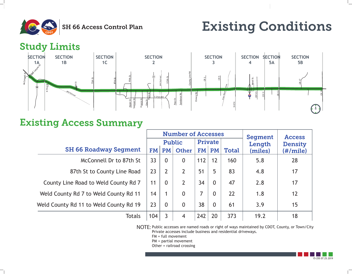15-255 07.25.2019

# Existing Conditions



|                    | <b>Number of Accesses</b> |                      |          |                                |                      |                | Segment | Access   |  |
|--------------------|---------------------------|----------------------|----------|--------------------------------|----------------------|----------------|---------|----------|--|
|                    | Public                    |                      |          |                                | <b>Private</b>       |                | Length  | Density  |  |
| Segment            | <b>FM</b>                 | <b>PM</b>            | Other    | FM                             | <b>PM</b>            | <b>Total</b>   | (miles) | (#/mile) |  |
| r to 87th St       | 33                        | $\bf{0}$             |          | 112                            | 12                   | 160            | 5.8     | 28       |  |
| y Line Road        | 23                        |                      |          | 51                             | 5                    | 83             | 4.8     | 17       |  |
| County Rd 7        | 11                        | $\blacktriangledown$ | <b>A</b> | 34<br>$\overline{\phantom{a}}$ | $\blacktriangledown$ | $\blacksquare$ | 2.8     | 17       |  |
| <b>Dunty Rd 11</b> | 14                        |                      |          |                                |                      |                | 1.8     | 12       |  |
| ounty Rd 19        | 23                        |                      |          | 38                             |                      | 61             | 3.9     | 15       |  |
| <b>Totals</b>      | 104                       |                      |          | 242                            | 20                   | 373            | 19.2    | 18       |  |

## Existing Access Summary

#### SH 66 Roadway

- McConnell Dr
- 87th St to County
- County Line Road to Weld C
- Weld County Rd 7 to Weld Co
- Weld County Rd 11 to Weld Co



NOTE: Public accesses are named roads or right of ways maintained by CDOT, County, or Town/City Private accesses include business and residential driveways. FM = full movement PM = partial movement Other = railroad crossing

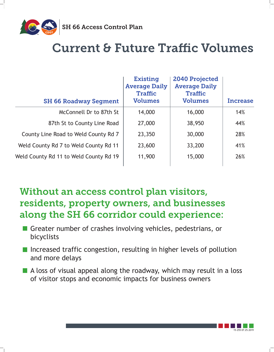

SS SH 66 Access Control Plan



## Current & Future Traffic Volumes

■ Greater number of crashes involving vehicles, pedestrians, or bicyclists

- Increased traffic congestion, resulting in higher levels of pollution and more delays
- A loss of visual appeal along the roadway, which may result in a loss of visitor stops and economic impacts for business owners

## Without an access control plan visitors, residents, property owners, and businesses along the SH 66 corridor could experience:

| <b>SH 66 Roadway Segment</b>           | <b>Existing</b><br><b>Average Daily</b><br><b>Traffic</b><br><b>Volumes</b> | 2040 Projected<br><b>Average Daily</b><br>Traffic<br><b>Volumes</b> | Increase |
|----------------------------------------|-----------------------------------------------------------------------------|---------------------------------------------------------------------|----------|
| McConnell Dr to 87th St                | 14,000                                                                      | 16,000                                                              | 14%      |
| 87th St to County Line Road            | 27,000                                                                      | 38,950                                                              | 44%      |
| County Line Road to Weld County Rd 7   | 23,350                                                                      | 30,000                                                              | 28%      |
| Weld County Rd 7 to Weld County Rd 11  | 23,600                                                                      | 33,200                                                              | 41%      |
| Weld County Rd 11 to Weld County Rd 19 | 11,900                                                                      | 15,000                                                              | 26%      |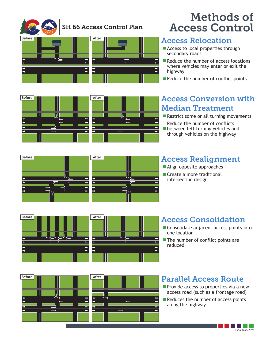

#### Access Relocation

- **Executes Access to local properties through** secondary roads
- Reduce the number of access locations where vehicles may enter or exit the highway
- Reduce the number of conflict points

#### Access Realignment

**Align opposite approaches** 

#### Access Consolidation



#### Parallel Access Route

Access Conversion with Median Treatment



**Before After** 

**Before THE REFERENCE After** 

Restrict some or all turning movements

## Methods of Access Control

**E** Create a more traditional intersection design

- Consolidate adjacent access points into one location
- $\blacksquare$  The number of conflict points are reduced

**Provide access to properties via a new** access road (such as a frontage road)

 $\blacksquare$  Reduces the number of access points along the highway

Reduce the number of conflicts **I** between left turning vehicles and through vehicles on the highway









#### SH 66 Access Control Plan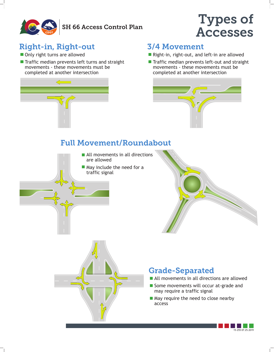

#### SH 66 Access Control Plan

#### Right-in, Right-out 3/4 Movement

**Only right turns are allowed** 



#### Full Movement/Roundabout

### Grade-Separated

Types of

Accesses

 $\blacksquare$  Traffic median prevents left turns and straight movements - these movements must be completed at another intersection



**Right-in, right-out, and left-in are allowed** 

**Therefore multimer is not in Theorem Traffic median prevents left-out and straight** movements - these movements must be completed at another intersection



**Exall movements in all directions** are allowed

**May include the need for a** traffic signal





- All movements in all directions are allowed
- Some movements will occur at-grade and may require a traffic signal
- May require the need to close nearby access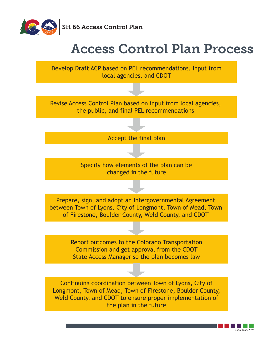

 $163$  SH 66 Access Control Plan



## Access Control Plan Process



Report outcomes to the Colorado Transportation Commission and get approval from the CDOT State Access Manager so the plan becomes law

Continuing coordination between Town of Lyons, City of Longmont, Town of Mead, Town of Firestone, Boulder County, Weld County, and CDOT to ensure proper implementation of the plan in the future

Develop Draft ACP based on PEL recommendations, input from local agencies, and CDOT

Revise Access Control Plan based on input from local agencies, the public, and final PEL recommendations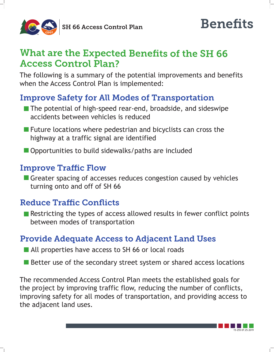

SS SH 66 Access Control Plan





The following is a summary of the potential improvements and benefits when the Access Control Plan is implemented:

Greater spacing of accesses reduces congestion caused by vehicles turning onto and off of SH 66

## What are the Expected Benefits of the SH 66 Access Control Plan?

**Restricting the types of access allowed results in fewer conflict points** between modes of transportation

■ The potential of high-speed rear-end, broadside, and sideswipe accidents between vehicles is reduced

**Future locations where pedestrian and bicyclists can cross the** highway at a traffic signal are identified

**Opportunities to build sidewalks/paths are included** 

#### Improve Traffic Flow

#### Reduce Traffic Conflicts

#### Improve Safety for All Modes of Transportation

#### Provide Adequate Access to Adjacent Land Uses

**Notally properties have access to SH 66 or local roads** 

**EXEC Better use of the secondary street system or shared access locations** 

The recommended Access Control Plan meets the established goals for the project by improving traffic flow, reducing the number of conflicts, improving safety for all modes of transportation, and providing access to the adjacent land uses.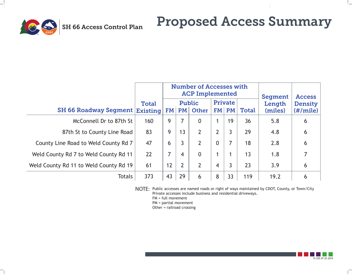

# Proposed Access Summary

|                 |              | Number of Accesses with<br><b>ACP Implemented</b>                      |    |  |                |    |     | Segment           | Access                                 |
|-----------------|--------------|------------------------------------------------------------------------|----|--|----------------|----|-----|-------------------|----------------------------------------|
|                 | <b>Total</b> | Public<br><b>egment   Existing   FM   PM   Other   FM   PM   Total</b> |    |  | <b>Private</b> |    |     | Length<br>(miles) | <b>Density</b><br>$(\# / \text{mile})$ |
| <b>387th St</b> | 160          | 9                                                                      |    |  |                | 19 | 36  | 5.8               | 6                                      |
| ine Road        | 83           | 9                                                                      | 13 |  |                |    | 29  | 4.8               | 6                                      |
| nty Rd 7        |              | 6                                                                      |    |  |                |    |     |                   |                                        |
| ty Rd 11        | 22           |                                                                        |    |  |                |    |     |                   |                                        |
| ty Rd 19        |              | 12                                                                     |    |  |                |    |     |                   |                                        |
| Totals          | 373          | 43                                                                     | 29 |  | 8              |    | 119 |                   |                                        |

NOTE: Public accesses are named roads or right of ways maintained by CDOT, County, or Town/City Private accesses include business and residential driveways. FM = full movement PM = partial movement Other = railroad crossing





#### SH 66 Roadway Se

McConnell Dr to 87th St to County Li County Line Road to Weld Cour Weld County Rd 7 to Weld Count Weld County Rd 11 to Weld Count